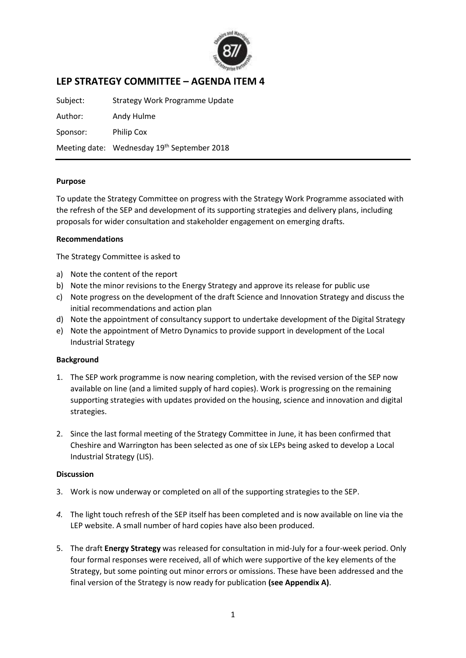

# **LEP STRATEGY COMMITTEE – AGENDA ITEM 4**

Subject: Strategy Work Programme Update Author: Andy Hulme Sponsor: Philip Cox Meeting date: Wednesday 19<sup>th</sup> September 2018

#### **Purpose**

To update the Strategy Committee on progress with the Strategy Work Programme associated with the refresh of the SEP and development of its supporting strategies and delivery plans, including proposals for wider consultation and stakeholder engagement on emerging drafts.

#### **Recommendations**

The Strategy Committee is asked to

- a) Note the content of the report
- b) Note the minor revisions to the Energy Strategy and approve its release for public use
- c) Note progress on the development of the draft Science and Innovation Strategy and discuss the initial recommendations and action plan
- d) Note the appointment of consultancy support to undertake development of the Digital Strategy
- e) Note the appointment of Metro Dynamics to provide support in development of the Local Industrial Strategy

#### **Background**

- 1. The SEP work programme is now nearing completion, with the revised version of the SEP now available on line (and a limited supply of hard copies). Work is progressing on the remaining supporting strategies with updates provided on the housing, science and innovation and digital strategies.
- 2. Since the last formal meeting of the Strategy Committee in June, it has been confirmed that Cheshire and Warrington has been selected as one of six LEPs being asked to develop a Local Industrial Strategy (LIS).

### **Discussion**

- 3. Work is now underway or completed on all of the supporting strategies to the SEP.
- *4.* The light touch refresh of the SEP itself has been completed and is now available on line via the LEP website. A small number of hard copies have also been produced.
- 5. The draft **Energy Strategy** was released for consultation in mid-July for a four-week period. Only four formal responses were received, all of which were supportive of the key elements of the Strategy, but some pointing out minor errors or omissions. These have been addressed and the final version of the Strategy is now ready for publication **(see Appendix A)**.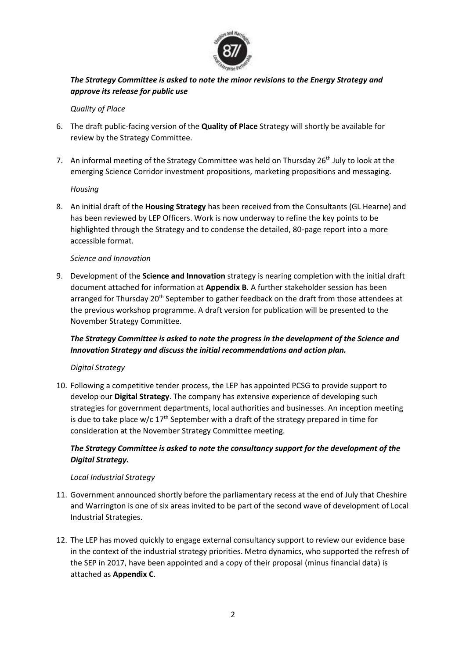

## *The Strategy Committee is asked to note the minor revisions to the Energy Strategy and approve its release for public use*

### *Quality of Place*

- 6. The draft public-facing version of the **Quality of Place** Strategy will shortly be available for review by the Strategy Committee.
- 7. An informal meeting of the Strategy Committee was held on Thursday 26<sup>th</sup> July to look at the emerging Science Corridor investment propositions, marketing propositions and messaging.

### *Housing*

8. An initial draft of the **Housing Strategy** has been received from the Consultants (GL Hearne) and has been reviewed by LEP Officers. Work is now underway to refine the key points to be highlighted through the Strategy and to condense the detailed, 80-page report into a more accessible format.

### *Science and Innovation*

9. Development of the **Science and Innovation** strategy is nearing completion with the initial draft document attached for information at **Appendix B**. A further stakeholder session has been arranged for Thursday 20<sup>th</sup> September to gather feedback on the draft from those attendees at the previous workshop programme. A draft version for publication will be presented to the November Strategy Committee.

# *The Strategy Committee is asked to note the progress in the development of the Science and Innovation Strategy and discuss the initial recommendations and action plan.*

### *Digital Strategy*

10. Following a competitive tender process, the LEP has appointed PCSG to provide support to develop our **Digital Strategy**. The company has extensive experience of developing such strategies for government departments, local authorities and businesses. An inception meeting is due to take place  $w/c$  17<sup>th</sup> September with a draft of the strategy prepared in time for consideration at the November Strategy Committee meeting.

### *The Strategy Committee is asked to note the consultancy support for the development of the Digital Strategy.*

### *Local Industrial Strategy*

- 11. Government announced shortly before the parliamentary recess at the end of July that Cheshire and Warrington is one of six areas invited to be part of the second wave of development of Local Industrial Strategies.
- 12. The LEP has moved quickly to engage external consultancy support to review our evidence base in the context of the industrial strategy priorities. Metro dynamics, who supported the refresh of the SEP in 2017, have been appointed and a copy of their proposal (minus financial data) is attached as **Appendix C**.